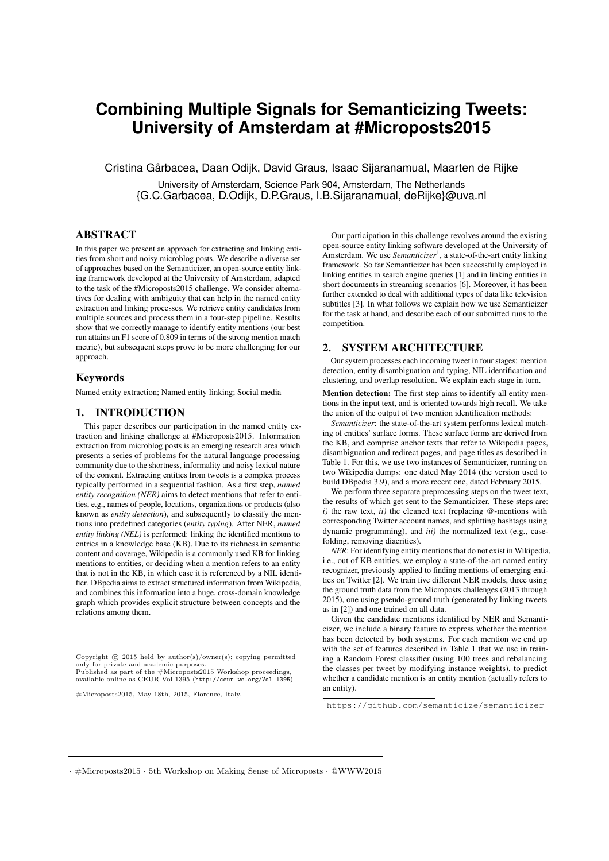# **Combining Multiple Signals for Semanticizing Tweets: University of Amsterdam at #Microposts2015**

Cristina Gârbacea, Daan Odijk, David Graus, Isaac Sijaranamual, Maarten de Rijke

University of Amsterdam, Science Park 904, Amsterdam, The Netherlands {G.C.Garbacea, D.Odijk, D.P.Graus, I.B.Sijaranamual, deRijke}@uva.nl

## ABSTRACT

In this paper we present an approach for extracting and linking entities from short and noisy microblog posts. We describe a diverse set of approaches based on the Semanticizer, an open-source entity linking framework developed at the University of Amsterdam, adapted to the task of the #Microposts2015 challenge. We consider alternatives for dealing with ambiguity that can help in the named entity extraction and linking processes. We retrieve entity candidates from multiple sources and process them in a four-step pipeline. Results show that we correctly manage to identify entity mentions (our best run attains an F1 score of 0.809 in terms of the strong mention match metric), but subsequent steps prove to be more challenging for our approach.

#### Keywords

Named entity extraction; Named entity linking; Social media

#### 1. INTRODUCTION

This paper describes our participation in the named entity extraction and linking challenge at #Microposts2015. Information extraction from microblog posts is an emerging research area which presents a series of problems for the natural language processing community due to the shortness, informality and noisy lexical nature of the content. Extracting entities from tweets is a complex process typically performed in a sequential fashion. As a first step, *named entity recognition (NER)* aims to detect mentions that refer to entities, e.g., names of people, locations, organizations or products (also known as *entity detection*), and subsequently to classify the mentions into predefined categories (*entity typing*). After NER, *named entity linking (NEL)* is performed: linking the identified mentions to entries in a knowledge base (KB). Due to its richness in semantic content and coverage, Wikipedia is a commonly used KB for linking mentions to entities, or deciding when a mention refers to an entity that is not in the KB, in which case it is referenced by a NIL identifier. DBpedia aims to extract structured information from Wikipedia, and combines this information into a huge, cross-domain knowledge graph which provides explicit structure between concepts and the relations among them.

Copyright  $\odot$  2015 held by author(s)/owner(s); copying permitted only for private and academic purposes. Published as part of the  $\#$ Microposts2015 Workshop proceedings,  $T_{\text{total}}$ available online as CEUR Vol-1395 (http://ceur-ws.org/Vol-1395) only for private and academic purposes. Published as part of the #Microposts2015 Workshop proceedings,

 $#Microosete2015$  M<sub>2</sub> #Microposts2015, May 18th, 2015, Florence, Italy.

Our participation in this challenge revolves around the existing open-source entity linking software developed at the University of Amsterdam. We use *Semanticizer*<sup>1</sup>, a state-of-the-art entity linking framework. So far Semanticizer has been successfully employed in linking entities in search engine queries [1] and in linking entities in short documents in streaming scenarios [6]. Moreover, it has been further extended to deal with additional types of data like television subtitles [3]. In what follows we explain how we use Semanticizer for the task at hand, and describe each of our submitted runs to the competition.

#### 2. SYSTEM ARCHITECTURE

Our system processes each incoming tweet in four stages: mention detection, entity disambiguation and typing, NIL identification and clustering, and overlap resolution. We explain each stage in turn.

Mention detection: The first step aims to identify all entity mentions in the input text, and is oriented towards high recall. We take the union of the output of two mention identification methods:

*Semanticizer*: the state-of-the-art system performs lexical matching of entities' surface forms. These surface forms are derived from the KB, and comprise anchor texts that refer to Wikipedia pages, disambiguation and redirect pages, and page titles as described in Table 1. For this, we use two instances of Semanticizer, running on two Wikipedia dumps: one dated May 2014 (the version used to build DBpedia 3.9), and a more recent one, dated February 2015.

We perform three separate preprocessing steps on the tweet text, the results of which get sent to the Semanticizer. These steps are:  $i)$  the raw text,  $ii)$  the cleaned text (replacing  $@$ -mentions with corresponding Twitter account names, and splitting hashtags using dynamic programming), and *iii)* the normalized text (e.g., casefolding, removing diacritics).

*NER*: For identifying entity mentions that do not exist in Wikipedia, i.e., out of KB entities, we employ a state-of-the-art named entity recognizer, previously applied to finding mentions of emerging entities on Twitter [2]. We train five different NER models, three using the ground truth data from the Microposts challenges (2013 through 2015), one using pseudo-ground truth (generated by linking tweets as in [2]) and one trained on all data.

Given the candidate mentions identified by NER and Semanticizer, we include a binary feature to express whether the mention has been detected by both systems. For each mention we end up with the set of features described in Table 1 that we use in training a Random Forest classifier (using 100 trees and rebalancing the classes per tweet by modifying instance weights), to predict whether a candidate mention is an entity mention (actually refers to an entity).

1 https://github.com/semanticize/semanticizer

*·* #Microposts2015 *·* 5th Workshop on Making Sense of Microposts *·* @WWW2015